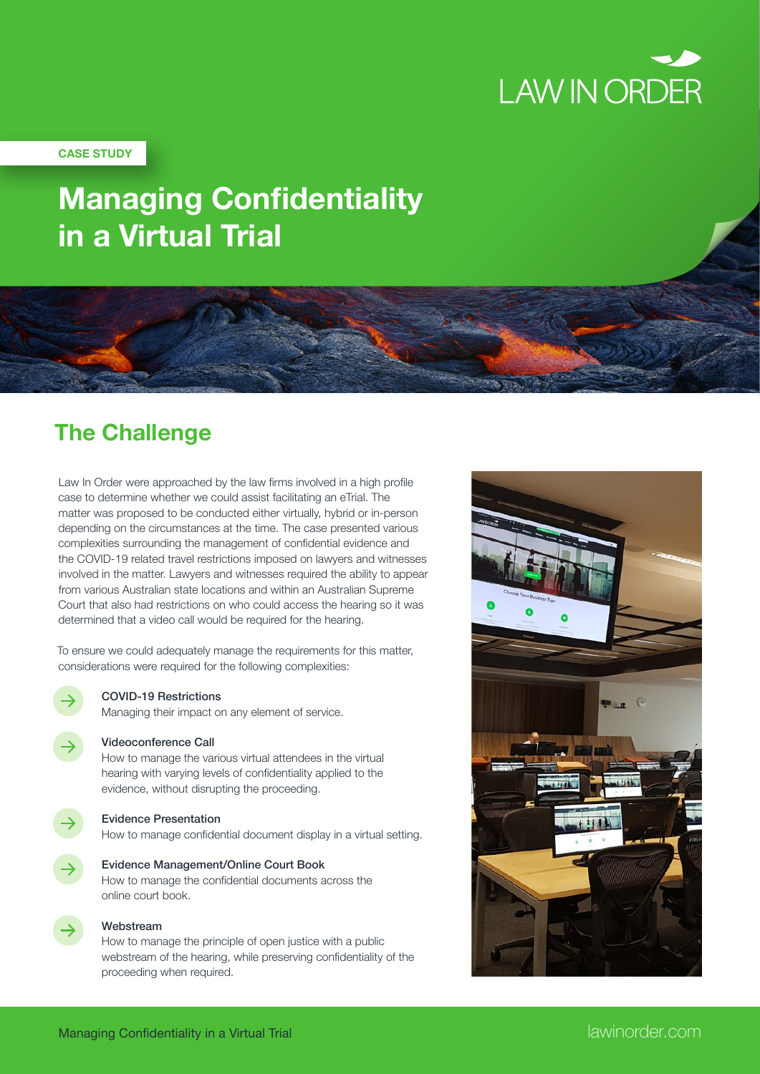

### **CASE STUDY**

# **Managing Confidentiality in a Virtual Trial**

## **The Challenge**

Law In Order were approached by the law firms involved in a high profile case to determine whether we could assist facilitating an eTrial. The matter was proposed to be conducted either virtually, hybrid or in-person depending on the circumstances at the time. The case presented various complexities surrounding the management of confidential evidence and the COVID-19 related travel restrictions imposed on lawyers and witnesses involved in the matter. Lawyers and witnesses required the ability to appear from various Australian state locations and within an Australian Supreme Court that also had restrictions on who could access the hearing so it was determined that a video call would be required for the hearing.

To ensure we could adequately manage the requirements for this matter, considerations were required for the following complexities:

### COVID-19 Restrictions

Managing their impact on any element of service.

### Videoconference Call

How to manage the various virtual attendees in the virtual hearing with varying levels of confidentiality applied to the evidence, without disrupting the proceeding.

### Evidence Presentation

How to manage confidential document display in a virtual setting.

Evidence Management/Online Court Book How to manage the confidential documents across the online court book.

### Webstream

How to manage the principle of open justice with a public webstream of the hearing, while preserving confidentiality of the proceeding when required.

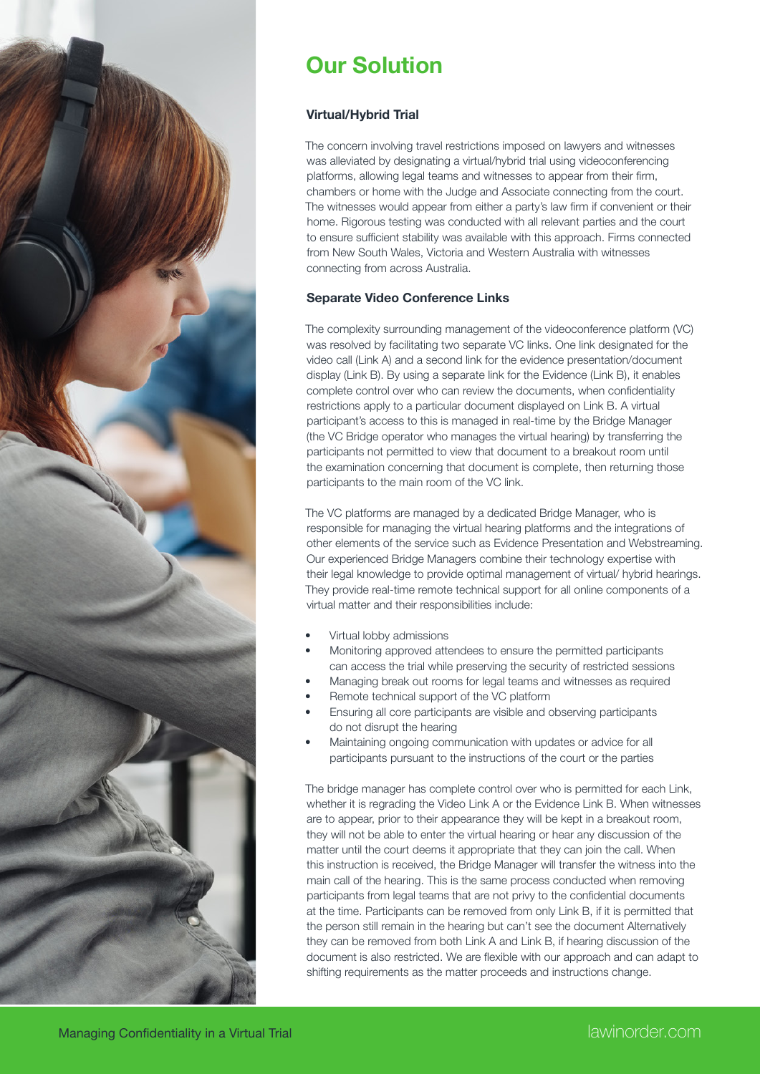

# **Our Solution**

### **Virtual/Hybrid Trial**

The concern involving travel restrictions imposed on lawyers and witnesses was alleviated by designating a virtual/hybrid trial using videoconferencing platforms, allowing legal teams and witnesses to appear from their firm, chambers or home with the Judge and Associate connecting from the court. The witnesses would appear from either a party's law firm if convenient or their home. Rigorous testing was conducted with all relevant parties and the court to ensure sufficient stability was available with this approach. Firms connected from New South Wales, Victoria and Western Australia with witnesses connecting from across Australia.

### **Separate Video Conference Links**

The complexity surrounding management of the videoconference platform (VC) was resolved by facilitating two separate VC links. One link designated for the video call (Link A) and a second link for the evidence presentation/document display (Link B). By using a separate link for the Evidence (Link B), it enables complete control over who can review the documents, when confidentiality restrictions apply to a particular document displayed on Link B. A virtual participant's access to this is managed in real-time by the Bridge Manager (the VC Bridge operator who manages the virtual hearing) by transferring the participants not permitted to view that document to a breakout room until the examination concerning that document is complete, then returning those participants to the main room of the VC link.

The VC platforms are managed by a dedicated Bridge Manager, who is responsible for managing the virtual hearing platforms and the integrations of other elements of the service such as Evidence Presentation and Webstreaming. Our experienced Bridge Managers combine their technology expertise with their legal knowledge to provide optimal management of virtual/ hybrid hearings. They provide real-time remote technical support for all online components of a virtual matter and their responsibilities include:

- Virtual lobby admissions
- Monitoring approved attendees to ensure the permitted participants can access the trial while preserving the security of restricted sessions
- Managing break out rooms for legal teams and witnesses as required
- Remote technical support of the VC platform
- Ensuring all core participants are visible and observing participants do not disrupt the hearing
- Maintaining ongoing communication with updates or advice for all participants pursuant to the instructions of the court or the parties

The bridge manager has complete control over who is permitted for each Link, whether it is regrading the Video Link A or the Evidence Link B. When witnesses are to appear, prior to their appearance they will be kept in a breakout room, they will not be able to enter the virtual hearing or hear any discussion of the matter until the court deems it appropriate that they can join the call. When this instruction is received, the Bridge Manager will transfer the witness into the main call of the hearing. This is the same process conducted when removing participants from legal teams that are not privy to the confidential documents at the time. Participants can be removed from only Link B, if it is permitted that the person still remain in the hearing but can't see the document Alternatively they can be removed from both Link A and Link B, if hearing discussion of the document is also restricted. We are flexible with our approach and can adapt to shifting requirements as the matter proceeds and instructions change.